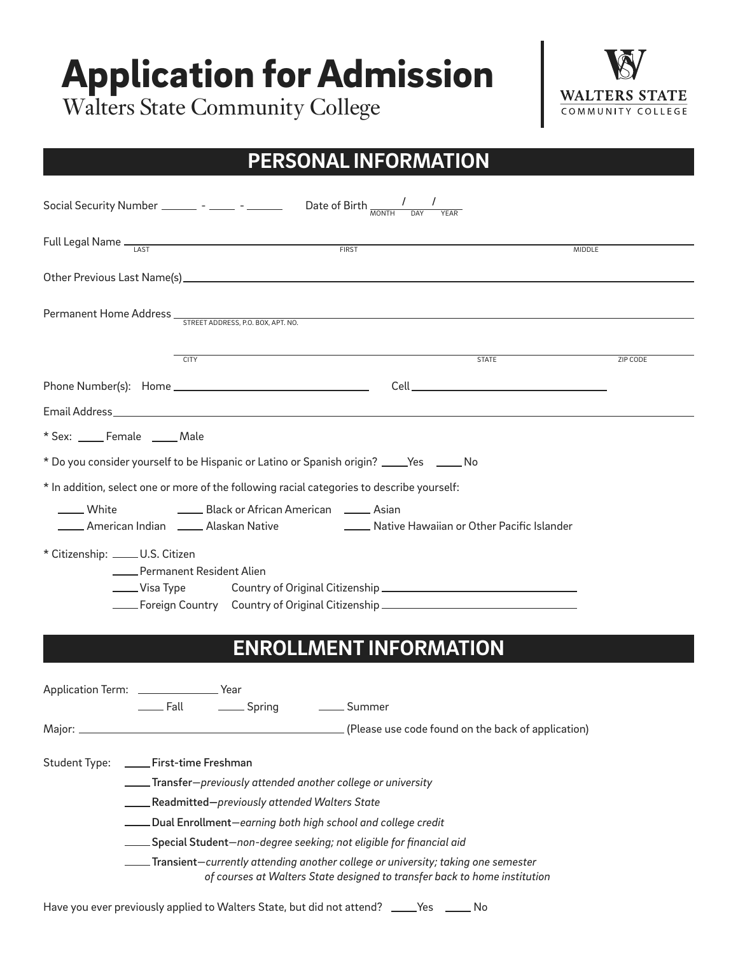# Application for Admission

Walters State Community College



### **PERSONAL INFORMATION**

|                                                |                                                                                                                | Social Security Number ________ - _______ - _______ Date of Birth $\frac{1}{MONTH}$                                                                                                                                                 |              |                 |
|------------------------------------------------|----------------------------------------------------------------------------------------------------------------|-------------------------------------------------------------------------------------------------------------------------------------------------------------------------------------------------------------------------------------|--------------|-----------------|
|                                                |                                                                                                                | Full Legal Name <sub>LAST</sub> CONSERVERSE FIRST                                                                                                                                                                                   |              | <b>MIDDLE</b>   |
|                                                |                                                                                                                |                                                                                                                                                                                                                                     |              |                 |
|                                                |                                                                                                                |                                                                                                                                                                                                                                     |              |                 |
|                                                | <b>CITY</b>                                                                                                    |                                                                                                                                                                                                                                     | <b>STATE</b> | <b>ZIP CODE</b> |
|                                                |                                                                                                                |                                                                                                                                                                                                                                     |              |                 |
|                                                |                                                                                                                |                                                                                                                                                                                                                                     |              |                 |
| * Sex: _____ Female _____ Male                 |                                                                                                                |                                                                                                                                                                                                                                     |              |                 |
|                                                |                                                                                                                | * Do you consider yourself to be Hispanic or Latino or Spanish origin? ____Yes _____No                                                                                                                                              |              |                 |
| ____ White                                     | _____ Black or African American _____ Asian                                                                    | * In addition, select one or more of the following racial categories to describe yourself:<br>American Indian                     Alaskan Native                                    Native Hawaiian or Other Pacific Islander       |              |                 |
| * Citizenship: _____ U.S. Citizen              | Permanent Resident Alien<br>_____ Visa Type                                                                    | Foreign Country Country of Original Citizenship ________________________________                                                                                                                                                    |              |                 |
|                                                |                                                                                                                | <b>ENROLLMENT INFORMATION</b>                                                                                                                                                                                                       |              |                 |
| Application Term: _______________________ Year | Lackenburg Community Community Community Community Community Community Community Community Community Community |                                                                                                                                                                                                                                     |              |                 |
| Major:                                         |                                                                                                                | (Please use code found on the back of application)                                                                                                                                                                                  |              |                 |
| <b>Student Type:</b>                           | ____First-time Freshman<br>Readmitted-previously attended Walters State                                        | ____Transfer-previously attended another college or university                                                                                                                                                                      |              |                 |
|                                                |                                                                                                                | Dual Enrollment-earning both high school and college credit                                                                                                                                                                         |              |                 |
|                                                |                                                                                                                | Special Student–non-degree seeking; not eligible for financial aid<br>Transient-currently attending another college or university; taking one semester<br>of courses at Walters State designed to transfer back to home institution |              |                 |

Have you ever previously applied to Walters State, but did not attend? \_\_\_\_Yes \_\_\_\_\_ No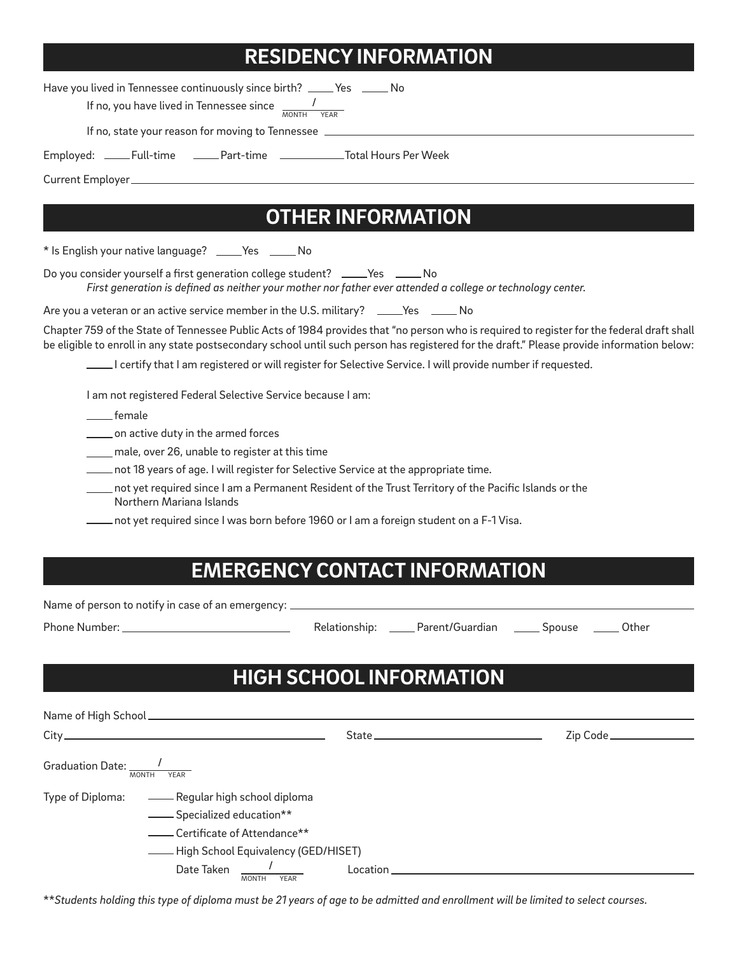#### **RESIDENCY INFORMATION**

Have you lived in Tennessee continuously since birth? \_\_\_\_ Yes \_\_\_\_\_ No

If no, you have lived in Tennessee since  $\frac{1}{\text{MONTH}}$ 

If no, state your reason for moving to Tennessee

Employed: \_\_\_\_Full-time \_\_\_\_Part-time \_\_\_\_\_\_\_\_\_\_\_\_Total Hours Per Week

Current Employer

### **OTHER INFORMATION**

\* Is English your native language? \_\_\_\_Yes \_\_\_\_\_No

Do you consider yourself a first generation college student? \_\_\_\_Yes \_\_\_\_\_No *First generation is defined as neither your mother nor father ever attended a college or technology center.*

Are you a veteran or an active service member in the U.S. military? \_\_\_\_Yes \_\_\_\_\_ No

Chapter 759 of the State of Tennessee Public Acts of 1984 provides that "no person who is required to register for the federal draft shall be eligible to enroll in any state postsecondary school until such person has registered for the draft." Please provide information below:

I certify that I am registered or will register for Selective Service. I will provide number if requested.

I am not registered Federal Selective Service because I am:

female

**where the lings on active duty in the armed forces** 

male, over 26, unable to register at this time

not 18 years of age. I will register for Selective Service at the appropriate time.

 not yet required since I am a Permanent Resident of the Trust Territory of the Pacific Islands or the Northern Mariana Islands

not yet required since I was born before 1960 or I am a foreign student on a F-1 Visa.

#### **EMERGENCY CONTACT INFORMATION**

Name of person to notify in case of an emergency:  $\equiv$ 

Phone Number: Relationship: Parent/Guardian Spouse Other

### **HIGH SCHOOL INFORMATION**

| <b>MONTH</b><br><b>YEAR</b> |                   |                                                                                                                                             |  |
|-----------------------------|-------------------|---------------------------------------------------------------------------------------------------------------------------------------------|--|
| - Specialized education**   |                   |                                                                                                                                             |  |
|                             | Date Taken Julius | Type of Diploma: ________ Regular high school diploma<br>- Certificate of Attendance**<br>- High School Equivalency (GED/HISET)<br>Location |  |

\*\**Students holding this type of diploma must be 21 years of age to be admitted and enrollment will be limited to select courses.*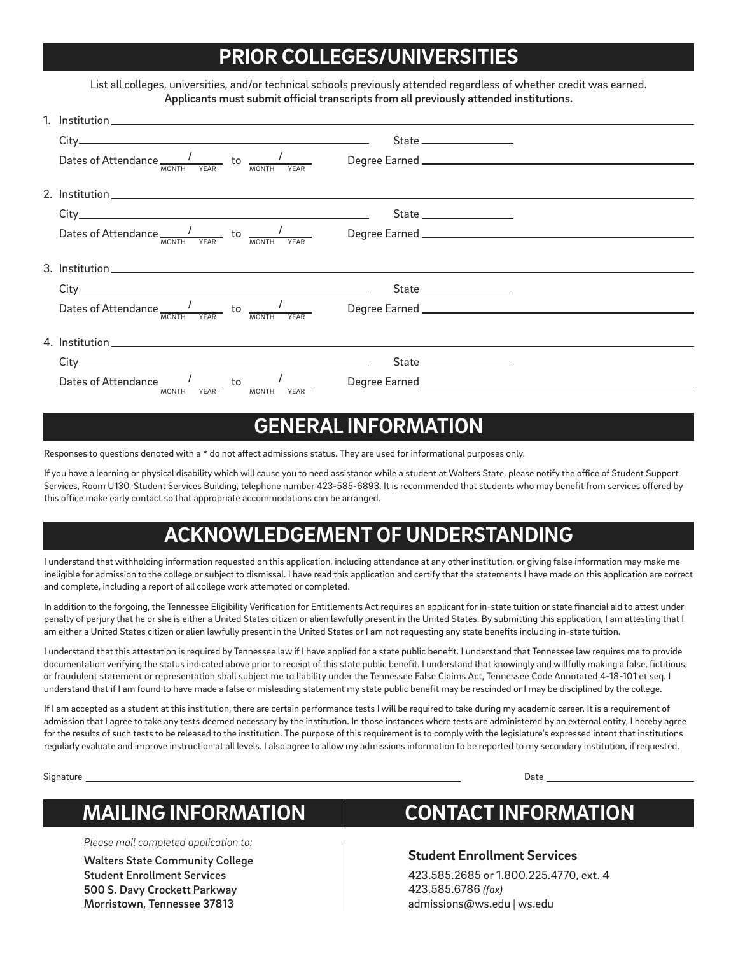## **PRIOR COLLEGES/UNIVERSITIES**

List all colleges, universities, and/or technical schools previously attended regardless of whether credit was earned. Applicants must submit official transcripts from all previously attended institutions.

| $City$ and $(x)$ and $(x)$ are $(x)$ and $(x)$ are $(x)$ and $(x)$ are $(x)$ and $(x)$ are $(x)$ and $(x)$ are $(x)$ and $(x)$ are $(x)$ and $(x)$ are $(x)$ and $(x)$ are $(x)$ and $(x)$ are $(x)$ and $(x)$ are $(x)$ and $(x)$ are $(x)$ and $(x)$ a |                                                                                                                                                                                                                                                                                                                                                                                                                                                                                                                                                       |
|----------------------------------------------------------------------------------------------------------------------------------------------------------------------------------------------------------------------------------------------------------|-------------------------------------------------------------------------------------------------------------------------------------------------------------------------------------------------------------------------------------------------------------------------------------------------------------------------------------------------------------------------------------------------------------------------------------------------------------------------------------------------------------------------------------------------------|
|                                                                                                                                                                                                                                                          |                                                                                                                                                                                                                                                                                                                                                                                                                                                                                                                                                       |
|                                                                                                                                                                                                                                                          |                                                                                                                                                                                                                                                                                                                                                                                                                                                                                                                                                       |
|                                                                                                                                                                                                                                                          | $State \begin{tabular}{c} \multicolumn{2}{c} {\textbf{\textit{State}}}\end{tabular} \begin{tabular}{c} \multicolumn{2}{c} {\textbf{\textit{State}}}\end{tabular} \begin{tabular}{c} \multicolumn{2}{c} {\textbf{\textit{State}}}\end{tabular} \begin{tabular}{c} \multicolumn{2}{c} {\textbf{\textit{State}}}\end{tabular} \end{tabular} \begin{tabular}{c} \multicolumn{2}{c} {\textbf{\textit{State}}}\end{tabular} \begin{tabular}{c} \multicolumn{2}{c} {\textbf{\textit{State}}}\end{tabular} \end{tabular} \begin{tabular}{c} \multicolumn{2}{$ |
|                                                                                                                                                                                                                                                          |                                                                                                                                                                                                                                                                                                                                                                                                                                                                                                                                                       |
|                                                                                                                                                                                                                                                          |                                                                                                                                                                                                                                                                                                                                                                                                                                                                                                                                                       |
|                                                                                                                                                                                                                                                          |                                                                                                                                                                                                                                                                                                                                                                                                                                                                                                                                                       |
|                                                                                                                                                                                                                                                          |                                                                                                                                                                                                                                                                                                                                                                                                                                                                                                                                                       |
| 4. Institution and the second service of the service of the service of the service of the service of the service of the service of the service of the service of the service of the service of the service of the service of t                           |                                                                                                                                                                                                                                                                                                                                                                                                                                                                                                                                                       |
|                                                                                                                                                                                                                                                          | State _________________                                                                                                                                                                                                                                                                                                                                                                                                                                                                                                                               |
| <b>MONTH</b><br><b>YEAR</b><br><b>MONTH</b>                                                                                                                                                                                                              |                                                                                                                                                                                                                                                                                                                                                                                                                                                                                                                                                       |

#### **GENERAL INFORMATION**

Responses to questions denoted with a \* do not affect admissions status. They are used for informational purposes only.

If you have a learning or physical disability which will cause you to need assistance while a student at Walters State, please notify the office of Student Support Services, Room U130, Student Services Building, telephone number 423-585-6893. It is recommended that students who may benefit from services offered by this office make early contact so that appropriate accommodations can be arranged.

#### **ACKNOWLEDGEMENT OF UNDERSTANDING**

I understand that withholding information requested on this application, including attendance at any other institution, or giving false information may make me ineligible for admission to the college or subject to dismissal. I have read this application and certify that the statements I have made on this application are correct and complete, including a report of all college work attempted or completed.

In addition to the forgoing, the Tennessee Eligibility Verification for Entitlements Act requires an applicant for in-state tuition or state financial aid to attest under penalty of perjury that he or she is either a United States citizen or alien lawfully present in the United States. By submitting this application, I am attesting that I am either a United States citizen or alien lawfully present in the United States or I am not requesting any state benefits including in-state tuition.

I understand that this attestation is required by Tennessee law if I have applied for a state public benefit. I understand that Tennessee law requires me to provide documentation verifying the status indicated above prior to receipt of this state public benefit. I understand that knowingly and willfully making a false, fictitious, or fraudulent statement or representation shall subject me to liability under the Tennessee False Claims Act, Tennessee Code Annotated 4-18-101 et seq. I understand that if I am found to have made a false or misleading statement my state public benefit may be rescinded or I may be disciplined by the college.

If I am accepted as a student at this institution, there are certain performance tests I will be required to take during my academic career. It is a requirement of admission that I agree to take any tests deemed necessary by the institution. In those instances where tests are administered by an external entity, I hereby agree for the results of such tests to be released to the institution. The purpose of this requirement is to comply with the legislature's expressed intent that institutions regularly evaluate and improve instruction at all levels. I also agree to allow my admissions information to be reported to my secondary institution, if requested.

Signature Date

**MAILING INFORMATION**

*Please mail completed application to:*

Walters State Community College Student Enrollment Services 500 S. Davy Crockett Parkway Morristown, Tennessee 37813

# **CONTACT INFORMATION**

#### **Student Enrollment Services**

423.585.2685 or 1.800.225.4770, ext. 4 423.585.6786 *(fax)* admissions@ws.edu | ws.edu